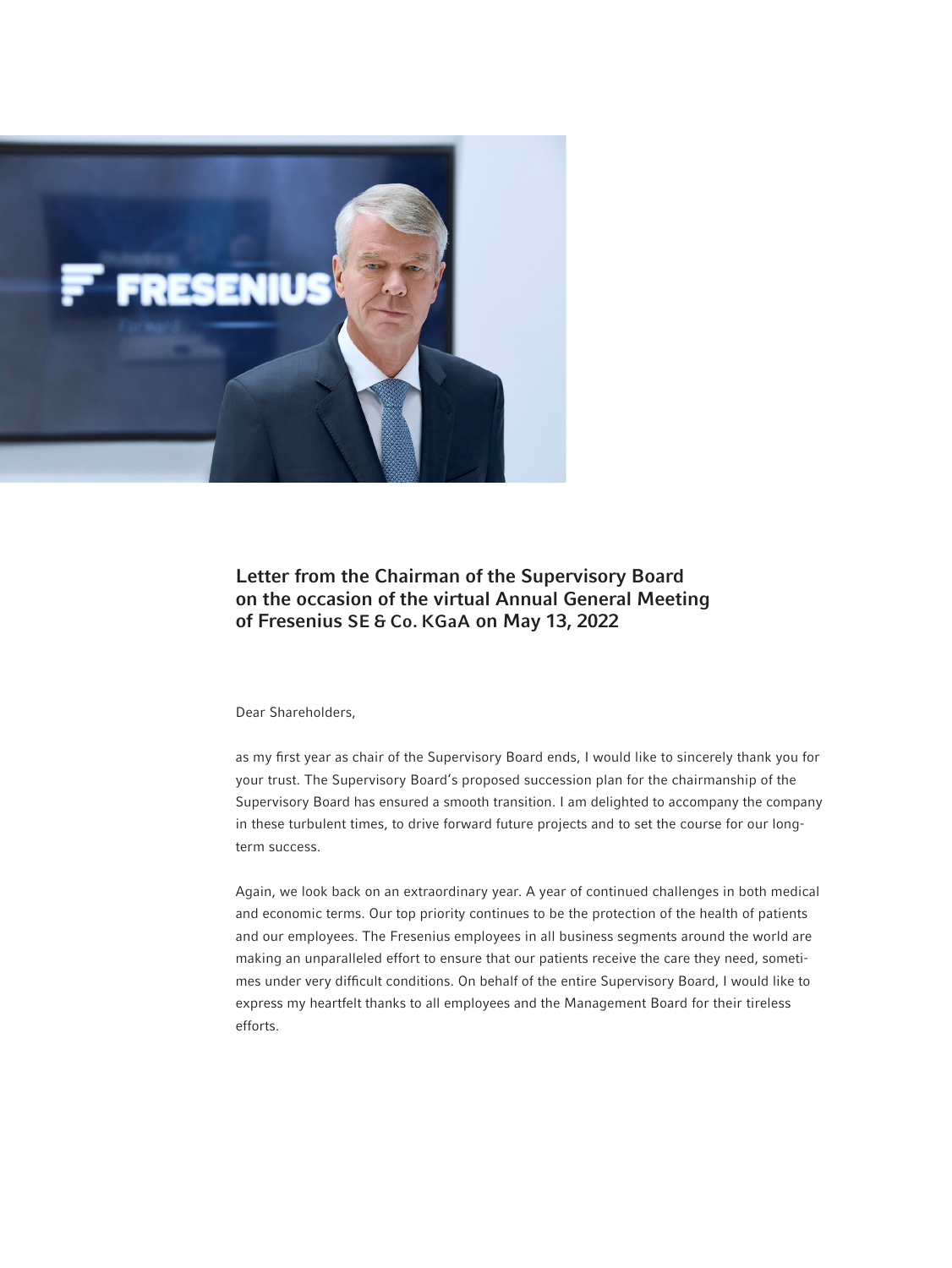

# Letter from the Chairman of the Supervisory Board on the occasion of the virtual Annual General Meeting of Fresenius SE & Co. KGaA on May 13, 2022

Dear Shareholders,

as my first year as chair of the Supervisory Board ends, I would like to sincerely thank you for your trust. The Supervisory Board's proposed succession plan for the chairmanship of the Supervisory Board has ensured a smooth transition. I am delighted to accompany the company in these turbulent times, to drive forward future projects and to set the course for our longterm success.

Again, we look back on an extraordinary year. A year of continued challenges in both medical and economic terms. Our top priority continues to be the protection of the health of patients and our employees. The Fresenius employees in all business segments around the world are making an unparalleled effort to ensure that our patients receive the care they need, sometimes under very difficult conditions. On behalf of the entire Supervisory Board, I would like to express my heartfelt thanks to all employees and the Management Board for their tireless efforts.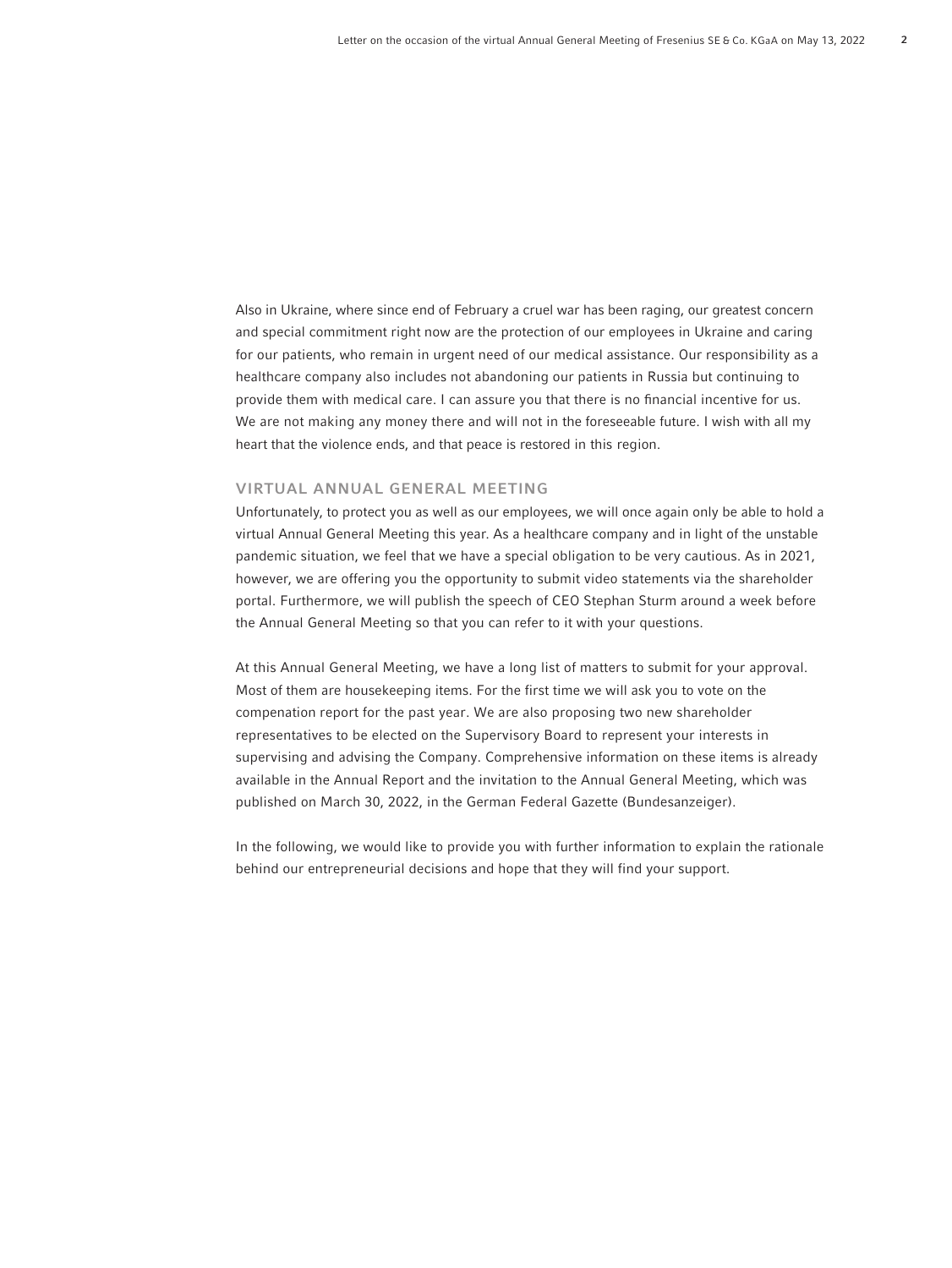Also in Ukraine, where since end of February a cruel war has been raging, our greatest concern and special commitment right now are the protection of our employees in Ukraine and caring for our patients, who remain in urgent need of our medical assistance. Our responsibility as a healthcare company also includes not abandoning our patients in Russia but continuing to provide them with medical care. I can assure you that there is no financial incentive for us. We are not making any money there and will not in the foreseeable future. I wish with all my heart that the violence ends, and that peace is restored in this region.

## VIRTUAL ANNUAL GENERAL MEETING

Unfortunately, to protect you as well as our employees, we will once again only be able to hold a virtual Annual General Meeting this year. As a healthcare company and in light of the unstable pandemic situation, we feel that we have a special obligation to be very cautious. As in 2021, however, we are offering you the opportunity to submit video statements via the shareholder portal. Furthermore, we will publish the speech of CEO Stephan Sturm around a week before the Annual General Meeting so that you can refer to it with your questions.

At this Annual General Meeting, we have a long list of matters to submit for your approval. Most of them are housekeeping items. For the first time we will ask you to vote on the compenation report for the past year. We are also proposing two new shareholder representatives to be elected on the Supervisory Board to represent your interests in supervising and advising the Company. Comprehensive information on these items is already available in the Annual Report and the invitation to the Annual General Meeting, which was published on March 30, 2022, in the German Federal Gazette (Bundesanzeiger).

In the following, we would like to provide you with further information to explain the rationale behind our entrepreneurial decisions and hope that they will find your support.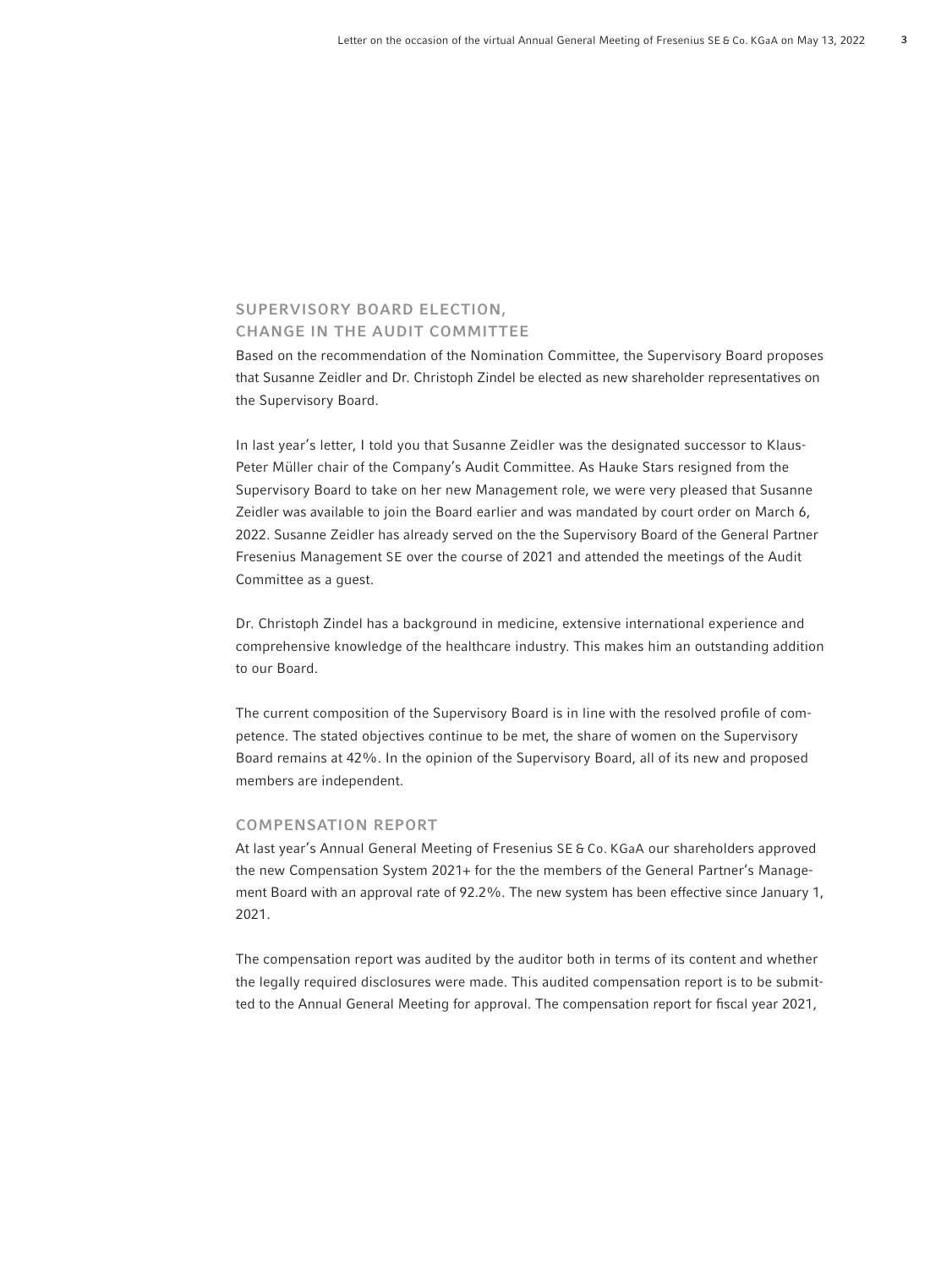# SUPERVISORY BOARD ELECTION, CHANGE IN THE AUDIT COMMITTEE

Based on the recommendation of the Nomination Committee, the Supervisory Board proposes that Susanne Zeidler and Dr. Christoph Zindel be elected as new shareholder representatives on the Supervisory Board.

In last year's letter, I told you that Susanne Zeidler was the designated successor to Klaus-Peter Müller chair of the Company's Audit Committee. As Hauke Stars resigned from the Supervisory Board to take on her new Management role, we were very pleased that Susanne Zeidler was available to join the Board earlier and was mandated by court order on March 6, 2022. Susanne Zeidler has already served on the the Supervisory Board of the General Partner Fresenius Management SE over the course of 2021 and attended the meetings of the Audit Committee as a guest.

Dr. Christoph Zindel has a background in medicine, extensive international experience and comprehensive knowledge of the healthcare industry. This makes him an outstanding addition to our Board.

The current composition of the Supervisory Board is in line with the resolved profile of competence. The stated objectives continue to be met, the share of women on the Supervisory Board remains at 42%. In the opinion of the Supervisory Board, all of its new and proposed members are independent.

#### COMPENSATION REPORT

At last year's Annual General Meeting of Fresenius SE & Co. KGaA our shareholders approved the new Compensation System 2021+ for the the members of the General Partner's Management Board with an approval rate of 92.2%. The new system has been effective since January 1, 2021.

The compensation report was audited by the auditor both in terms of its content and whether the legally required disclosures were made. This audited compensation report is to be submitted to the Annual General Meeting for approval. The compensation report for fiscal year 2021,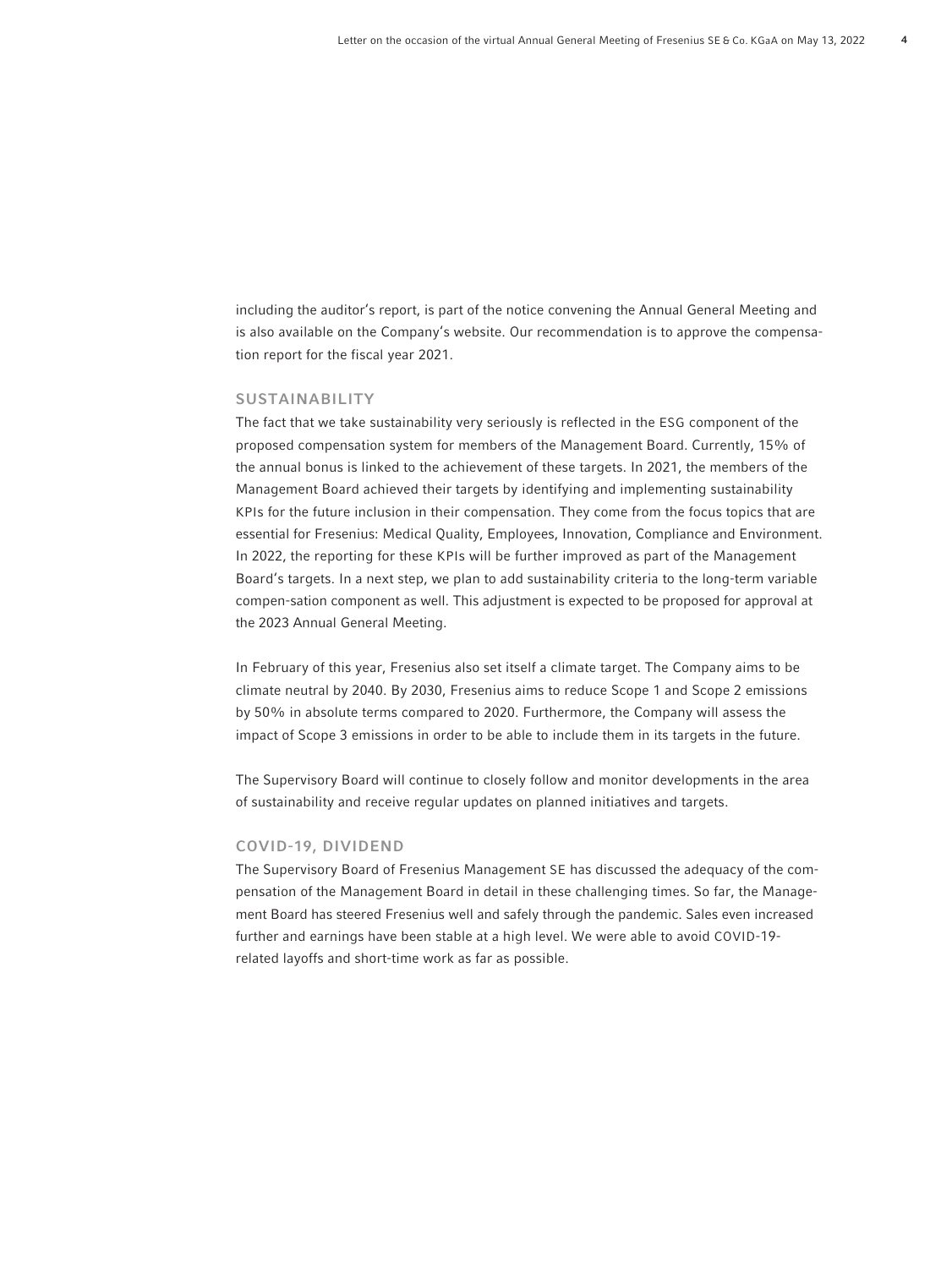including the auditor's report, is part of the notice convening the Annual General Meeting and is also available on the Company's website. Our recommendation is to approve the compensation report for the fiscal year 2021.

#### SUSTAINABILITY

The fact that we take sustainability very seriously is reflected in the ESG component of the proposed compensation system for members of the Management Board. Currently, 15% of the annual bonus is linked to the achievement of these targets. In 2021, the members of the Management Board achieved their targets by identifying and implementing sustainability KPIs for the future inclusion in their compensation. They come from the focus topics that are essential for Fresenius: Medical Quality, Employees, Innovation, Compliance and Environment. In 2022, the reporting for these KPIs will be further improved as part of the Management Board's targets. In a next step, we plan to add sustainability criteria to the long-term variable compen-sation component as well. This adjustment is expected to be proposed for approval at the 2023 Annual General Meeting.

In February of this year, Fresenius also set itself a climate target. The Company aims to be climate neutral by 2040. By 2030, Fresenius aims to reduce Scope 1 and Scope 2 emissions by 50% in absolute terms compared to 2020. Furthermore, the Company will assess the impact of Scope 3 emissions in order to be able to include them in its targets in the future.

The Supervisory Board will continue to closely follow and monitor developments in the area of sustainability and receive regular updates on planned initiatives and targets.

### COVID-19, DIVIDEND

The Supervisory Board of Fresenius Management SE has discussed the adequacy of the compensation of the Management Board in detail in these challenging times. So far, the Management Board has steered Fresenius well and safely through the pandemic. Sales even increased further and earnings have been stable at a high level. We were able to avoid COVID-19 related layoffs and short-time work as far as possible.